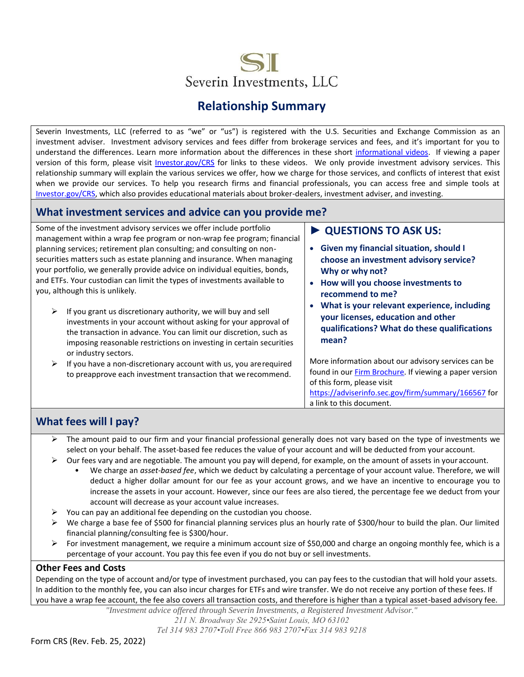

# **Relationship Summary**

Severin Investments, LLC (referred to as "we" or "us") is registered with the U.S. Securities and Exchange Commission as an investment adviser. Investment advisory services and fees differ from brokerage services and fees, and it's important for you to understand the differences. Learn more information about the differences in these short [informational videos.](https://www.youtube.com/playlist?list=PLrB8PjaXSV6uLdNIz6MVpbGLBHNyXPc-h) If viewing a paper version of this form, please visit [Investor.gov/CRS](https://www.investor.gov/home/welcome-investor-gov-crs) for links to these videos. We only provide investment advisory services. This relationship summary will explain the various services we offer, how we charge for those services, and conflicts of interest that exist when we provide our services. To help you research firms and financial professionals, you can access free and simple tools at [Investor.gov/CRS,](https://www.investor.gov/home/welcome-investor-gov-crs) which also provides educational materials about broker-dealers, investment adviser, and investing.

### **What investment services and advice can you provide me?**

Some of the investment advisory services we offer include portfolio management within a wrap fee program or non-wrap fee program; financial planning services; retirement plan consulting; and consulting on nonsecurities matters such as estate planning and insurance. When managing your portfolio, we generally provide advice on individual equities, bonds, and ETFs. Your custodian can limit the types of investments available to you, although this is unlikely.

- $\triangleright$  If you grant us discretionary authority, we will buy and sell investments in your account without asking for your approval of the transaction in advance. You can limit our discretion, such as imposing reasonable restrictions on investing in certain securities or industry sectors.
- $\triangleright$  If you have a non-discretionary account with us, you are required to preapprove each investment transaction that werecommend.

### **► QUESTIONS TO ASK US:**

- **Given my financial situation, should I choose an investment advisory service? Why or why not?**
- **How will you choose investments to recommend to me?**
- **What is your relevant experience, including your licenses, education and other qualifications? What do these qualifications mean?**

More information about our advisory services can be found in our [Firm Brochure.](https://adviserinfo.sec.gov/firm/summary/166567) If viewing a paper version of this form, please visit

<https://adviserinfo.sec.gov/firm/summary/166567> for a link to this document.

## **What fees will I pay?**

- $\triangleright$  The amount paid to our firm and your financial professional generally does not vary based on the type of investments we select on your behalf. The asset-based fee reduces the value of your account and will be deducted from your account.
- $\triangleright$  Our fees vary and are negotiable. The amount you pay will depend, for example, on the amount of assets in your account.
	- We charge an *asset-based fee*, which we deduct by calculating a percentage of your account value. Therefore, we will deduct a higher dollar amount for our fee as your account grows, and we have an incentive to encourage you to increase the assets in your account. However, since our fees are also tiered, the percentage fee we deduct from your account will decrease as your account value increases.
- $\triangleright$  You can pay an additional fee depending on the custodian you choose.
- ➢ We charge a base fee of \$500 for financial planning services plus an hourly rate of \$300/hour to build the plan. Our limited financial planning/consulting fee is \$300/hour.
- $\triangleright$  For investment management, we require a minimum account size of \$50,000 and charge an ongoing monthly fee, which is a percentage of your account. You pay this fee even if you do not buy or sell investments.

#### **Other Fees and Costs**

Depending on the type of account and/or type of investment purchased, you can pay fees to the custodian that will hold your assets. In addition to the monthly fee, you can also incur charges for ETFs and wire transfer. We do not receive any portion of these fees. If you have a wrap fee account, the fee also covers all transaction costs, and therefore is higher than a typical asset-based advisory fee.